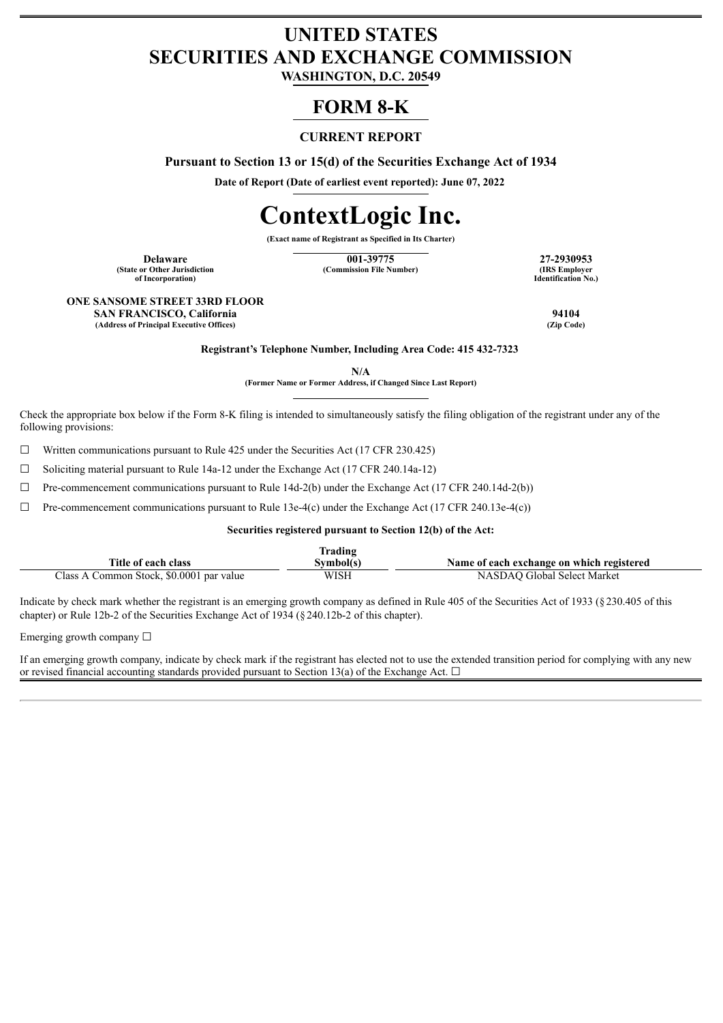# **UNITED STATES SECURITIES AND EXCHANGE COMMISSION**

**WASHINGTON, D.C. 20549**

# **FORM 8-K**

# **CURRENT REPORT**

**Pursuant to Section 13 or 15(d) of the Securities Exchange Act of 1934**

**Date of Report (Date of earliest event reported): June 07, 2022**

# **ContextLogic Inc.**

**(Exact name of Registrant as Specified in Its Charter)**

**(State or Other Jurisdiction of Incorporation)**

**Delaware 101-39775 27-2930953**<br> **101-39775 27-2930953**<br> **101-39775 27-2930953 (Commission File Number)** 

**Identification No.)**

#### **ONE SANSOME STREET 33RD FLOOR SAN FRANCISCO, California 94104 (Address of Principal Executive Offices)**

**Registrant's Telephone Number, Including Area Code: 415 432-7323**

**N/A**

**(Former Name or Former Address, if Changed Since Last Report)**

Check the appropriate box below if the Form 8-K filing is intended to simultaneously satisfy the filing obligation of the registrant under any of the following provisions:

 $\Box$  Written communications pursuant to Rule 425 under the Securities Act (17 CFR 230.425)

☐ Soliciting material pursuant to Rule 14a-12 under the Exchange Act (17 CFR 240.14a-12)

 $\Box$  Pre-commencement communications pursuant to Rule 14d-2(b) under the Exchange Act (17 CFR 240.14d-2(b))

 $\Box$  Pre-commencement communications pursuant to Rule 13e-4(c) under the Exchange Act (17 CFR 240.13e-4(c))

### **Securities registered pursuant to Section 12(b) of the Act:**

| lrading                                  |           |                                           |  |  |
|------------------------------------------|-----------|-------------------------------------------|--|--|
| Title of each class                      | Svmbol(s) | Name of each exchange on which registered |  |  |
| Class A Common Stock, \$0.0001 par value | WISH      | NASDAO Global Select Market               |  |  |

Indicate by check mark whether the registrant is an emerging growth company as defined in Rule 405 of the Securities Act of 1933 (§230.405 of this chapter) or Rule 12b-2 of the Securities Exchange Act of 1934 (§240.12b-2 of this chapter).

Emerging growth company  $\Box$ 

If an emerging growth company, indicate by check mark if the registrant has elected not to use the extended transition period for complying with any new or revised financial accounting standards provided pursuant to Section 13(a) of the Exchange Act.  $\Box$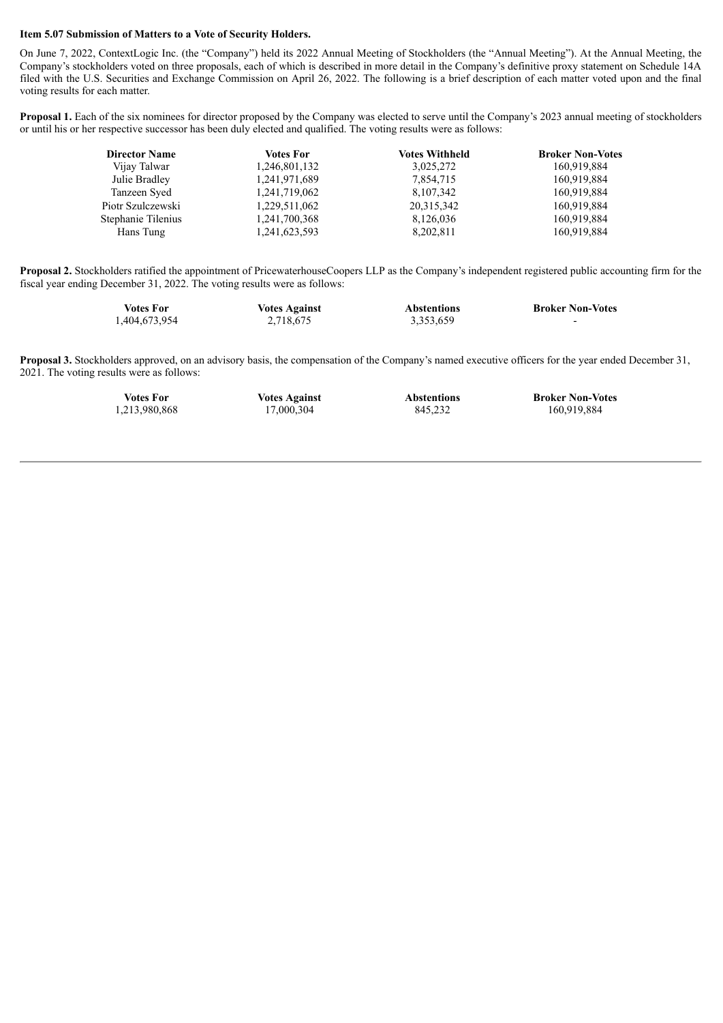#### **Item 5.07 Submission of Matters to a Vote of Security Holders.**

On June 7, 2022, ContextLogic Inc. (the "Company") held its 2022 Annual Meeting of Stockholders (the "Annual Meeting"). At the Annual Meeting, the Company's stockholders voted on three proposals, each of which is described in more detail in the Company's definitive proxy statement on Schedule 14A filed with the U.S. Securities and Exchange Commission on April 26, 2022. The following is a brief description of each matter voted upon and the final voting results for each matter.

**Proposal 1.** Each of the six nominees for director proposed by the Company was elected to serve until the Company's 2023 annual meeting of stockholders or until his or her respective successor has been duly elected and qualified. The voting results were as follows:

| <b>Director Name</b> | <b>Votes For</b> | <b>Votes Withheld</b> | <b>Broker Non-Votes</b> |
|----------------------|------------------|-----------------------|-------------------------|
| Vijay Talwar         | 1,246,801,132    | 3,025,272             | 160.919.884             |
| Julie Bradley        | 1,241,971,689    | 7,854,715             | 160.919.884             |
| Tanzeen Syed         | 1,241,719,062    | 8,107,342             | 160.919.884             |
| Piotr Szulczewski    | 1,229,511,062    | 20,315,342            | 160.919.884             |
| Stephanie Tilenius   | 1,241,700,368    | 8,126,036             | 160,919,884             |
| Hans Tung            | 1,241,623,593    | 8,202,811             | 160,919,884             |

**Proposal 2.** Stockholders ratified the appointment of PricewaterhouseCoopers LLP as the Company's independent registered public accounting firm for the fiscal year ending December 31, 2022. The voting results were as follows:

| Votes For     | <b>Votes Against</b> | <b>Abstentions</b> | <b>Broker Non-Votes</b> |
|---------------|----------------------|--------------------|-------------------------|
| 1,404,673,954 | 2,718,675            | 3,353,659          | -                       |

**Proposal 3.** Stockholders approved, on an advisory basis, the compensation of the Company's named executive officers for the year ended December 31, 2021. The voting results were as follows:

| Votes For     | <b>Votes Against</b> | <b>Abstentions</b> | <b>Broker Non-Votes</b> |
|---------------|----------------------|--------------------|-------------------------|
| 1,213,980,868 | 17,000,304           | 845,232            | 160,919,884             |